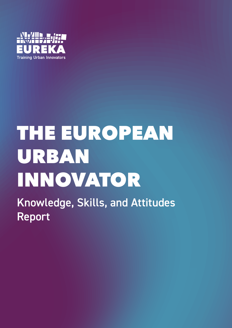

# THE EUROPEAN URBAN INNOVATOR

Knowledge, Skills, and Attitudes Report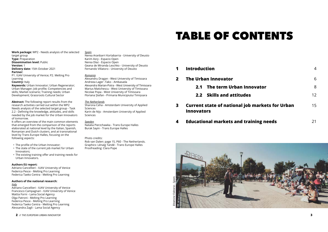#### **2** *// THE EUROPEAN URBAN INNOVATOR* **3**

**Work package:** WP2 - Needs analysis of the selected target group **Type: Preparation Dissemination level:** Public **Version:** 1 **Delivery date:** 15th October 2021 **Partner:** P1. IUAV University of Venice; P2. Melting Pro Learning **Country:** Italy **Keywords:** Urban Innovator; Urban Regenerator;

Urban Manager; Job profile; Competencies and skills; Market scenario; Training needs; Urban Development; Grassroots Cultural Sector

**Abstract:** The following report results from the research activities carried out within the WP2 Needs analysis of the selected target group - Task 2.2 - Defining the knowledge, attitudes, and skills needed by the job market for the Urban Innovators of tomorrow.

It offers an overview of the main common elements that emerged from the comparison of the reports elaborated at national level by the Italian, Spanish, Romanian and Dutch clusters, and at transnational level by Trans Europe Halles, focusing on the following aspects:

- The profile of the Urban Innovator;
- The state of the current job market for Urban Innovators;
- The existing training offer and training needs for Urban Innovators.

#### **Authors EU report:**

Adriano Cancellieri - IUAV University of Venice Federica Pesce - Melting Pro Learning Federica Taeko Centra - Melting Pro Learning

- **1 Introduction**
- **2 The Urban Innovator**
	- **2.1 The term Urban In**
	- **2.2 Skills and attitude**
- **3 Current state of national jo Innovators**
- **Educational markets and training**

#### **Authors of the national research:**

#### *Italy*

Adriano Cancellieri - IUAV University of Venice Francesco Campagnari - IUAV University of Venice Mattia Forni - Lama Social Agency Olga Patroni - Melting Pro Learning Federica Pesce - Melting Pro Learning Federica Taeko Centra - Melting Pro Learning Alessandra Zagli - Lama Social Agency

#### *Spain*

Nerea Aranbarri Kortabarria - University of Deusto Karim Asry - Espacio Open Nerea Díaz - Espacio Open Geana de Miranda Leschko - University of Deusto Fernando Villatoro - University of Deusto

#### *Romania*

Alexandru Dragan - West University of Timisoara Andreea Lager -Tako - Ambasada Alexandra Marian-Potra - West University of Timisoara Marius Matichescu - West University of Timisoara Nicolae Popa - West University of Timisoara Floriana Ștefan - Primaria Municipiului Timișoara

#### *The Netherlands*

Sharona Ceha - Amsterdam University of Applied Sciences Karin de Nijs - Amsterdam University of Applied Sciences

#### *Sweden*

Natalia Pierzchawka - Trans Europe Halles Burak Sayin - Trans Europe Halles

#### Photo credits:

Rob van Dalen: page 15, P60 - The Netherlands. Graphics: Lénaïg Tandé - Trans Europe Halles Proofreading: Clara Pope

### TABLE OF CONTENTS

|                     | 6  |
|---------------------|----|
| novator             | 8  |
| S                   | 12 |
| b markets for Urban | 15 |
| aining needs        | 21 |

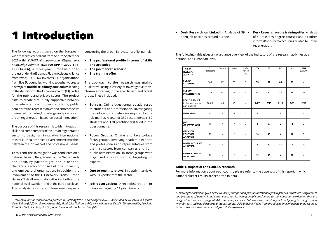## 1 Introduction

The following report is based on the Europeanwide research carried out from April to September 2021 within *EUREKA - European Urban REgenerators Knowledge Alliance* **(621709-EPP-1-2020-1-IT-EPPKA2-KA)**, a three-year European funded project under the Erasmus Plus Knowledge Alliance framework. EUREKA involves 11 organisations from five EU countries<sup>1</sup> working together to create a new joint **multidisciplinary curriculum** leading to the definition of the Urban Innovator (UI) profile for the public and private sector. The project aims to create a mutually supportive network of academics, practitioners, students, public administration representatives and entrepreneurs interested in sharing knowledge and practices in urban regeneration based on social innovation.

The purpose of this research is to identify gaps in skills and competencies in the urban regeneration sector to design an innovative international master curriculum able to overcome mismatches between the job market and professional needs.

To this end, the investigation was conducted on a national basis in Italy, Romania, the Netherlands and Spain, by partners grouped in national clusters – each composed of one university and one sectoral organisation. In addition, the involvement of the EU network Trans Europe Halles (TEH) allowed data gathering both at the national level (Sweden) and at the European level. The analysis considered three main aspects concerning the Urban Innovator profile, namely:

- **• The professional profile in terms of skills and attitudes**
- **• The job market scenario**
- **• The training offer**

The approach to the research was mainly qualitative, using a variety of investigative tools, chosen according to the specific aim and target group. These included:

- **• Surveys:** Online questionnaires addressed to students and professionals, investigating the skills and competencies required by the job market. A total of 339 respondents (169 students and 170 practitioners) filled in the questionnaire.
- **• Focus Groups:** Online and face-to-face focus groups, involving academic experts and professionals and representatives from the third sector, from companies and from public administration. 10 focus groups were organised around Europe, targeting 88 experts.
- **• One-to-one Interviews:** In-depth Interviews with 8 experts from the sector.
- **• Job observation:** Direct observation or interview targeting 11 practitioners.

The following table gives an at-a-glance overview of the indicators of the research activities at a national and European level.

#### **Table 1. Impact of the EUREKA research**

For more information about each country please refer to the appendix of this report, in which national cluster results are reported in detail.

**• Desk Research on Linkedin:** Analysis of 39 open job positions around Europe. **• Desk Research on the training offer:** Analysis of 49 master's degree courses and 34 other informal/non-formal<sup>2</sup> courses related to urban regeneration.

| <b>TYPE OF</b><br><b>RESEARCH</b><br><b>ACTIVITY</b>        | EU<br>Indicators | Female         | Male           | Prefer<br>not to<br>say | <b>ITA</b> | <b>ES</b>      | <b>RO</b>               | <b>NL</b>               | <b>TEH</b><br>(SE/EU) |
|-------------------------------------------------------------|------------------|----------------|----------------|-------------------------|------------|----------------|-------------------------|-------------------------|-----------------------|
| <b>SURVEY</b><br><b>STUDENTS</b>                            | 169              | 101            | 65             | $\mathsf{3}$            | 53         | 32             | 65                      | 19                      | $\prime$              |
| <b>SURVEY</b><br><b>PRACTITIONERS</b>                       | 170              | 91             | 76             | $\overline{3}$          | 44         | 40             | 38                      | 34                      | 14                    |
| <b>FOCUS GROUPS</b><br>(n. focus groups/n.<br>participants) | 10/88            | 43             | 45             | $\overline{I}$          | 2/27       | 2/13           | 2/16                    | 2/19                    | 2/13                  |
| <b>INTERVIEWS</b>                                           | 8                | 2              | 6              | $\overline{I}$          | 3          | $\overline{2}$ | $\overline{\mathbf{3}}$ | $\prime$                | $\prime$              |
| <b>JOB</b><br><b>OBSERVATIONS</b>                           | 11               | $\overline{4}$ | $\overline{7}$ | $\prime$                | 4          | $\overline{2}$ | $\overline{\mathbf{3}}$ | $\overline{\mathbf{2}}$ | $\prime$              |
| <b>OPEN JOB</b><br><b>POSITION</b><br><b>ANALYSED</b>       | 39               | $\prime$       | $\prime$       | $\prime$                | 10         | 10             | $\prime$                | 10                      | 9                     |
| <b>MASTER COURSES</b><br><b>ANALYSED</b>                    | 49               | $\prime$       | $\prime$       | $\prime$                | 8          | 12             | 11                      | 8                       | 10                    |
| <b>OTHER COURSES</b><br><b>ANALYSED</b>                     | 34               | $\prime$       | $\prime$       | $\prime$                | 12         | 10             | $\prime$                | 12                      | $\prime$              |

**<sup>4</sup>** *// THE EUROPEAN URBAN INNOVATOR* **5**

 *<sup>1</sup> Università Iuav di Venezia (Lead partner, IT), Melting Pro (IT), Lama Agenzia (IT), Universidad de Deusto (ES), Espazio Open Bilbao (ES),Trans Europe Halles (SE), Municipiul Timisoara (RO), Universitatea de Vest Din Timisoara (RO), Asociatia Casa Plai (RO), Stichting P60 (NL) and Hogeschool van Amsterdam (NL)*

*<sup>2</sup> Following the definition given by the council of Europe, "non-formal education" refers to planned, structured programmes and processes of personal and social education for young people outside the formal education curriculum that are designed to improve a range of skills and competencies. "Informal education" refers to a lifelong learning process whereby each individual acquires attitudes, values, skills and knowledge from the educational influences and resources in his or her own environment and from daily experience.*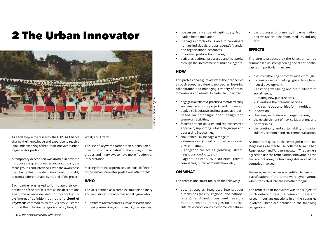### 2 The Urban Innovator

As a first step in the research, the EUREKA Alliance shared their knowledge and expertise to reach a joint understanding of the Urban Innovator/Urban Regenerator profile.

A temporary description was drafted in order to introduce the questionnaires and accompany the focus groups and interviews, with the awareness that, being fluid, the definition would probably take on a different shape by the end of the project.

Each partner was asked to formulate their own definition of the profile. From all the descriptions given, the alliance decided not to adopt a single "merged" definition, but rather a **cloud of keywords** common to all the visions, clustered around the following categories: Who; How; On What; and Effects.

The use of keywords rather than a definition allowed those participating in the surveys, focus groups and interviews to have more freedom of interpretation.

Starting from these premises, an initial definition of the Urban Innovator profile was attempted:

#### **WHO**

The UI is defined as a complex, multidisciplinary and multidimensional professional figure who:

**•** embraces different tasks such as research, fundraising, networking, and community management;

- **•** possesses a range of aptitudes, from leadership to mediation;
- **•** manages complexity, is able to coordinate human (individuals, groups, agents), financial and organisational resources;
- **•** innovates, pushing boundaries;
- **•** activates actions, processes and networks through the involvement of multiple agents.

#### **HOW**

This professional figure activates their capacities through adopting different approaches, fostering collaboration and managing a variety of areas, dimensions and agents. In particular, they must:

- **•** engage in a reflective practice aimed at creating sustainable actions, projects and processes;
- **•** apply a collaborative and integrated approach based on co-design, open design and teamwork activities;
- **•** foster a bottom-up, user- and context-centred approach, supporting vulnerable groups and addressing inequalities;
- **•** simultaneously manage a range of: - dimensions (social, cultural, economic, environmental);
	- geographical scales (building, street, neighbourhood, city, etc.);

- agents (citizens, civic societies, private companies, public administration, etc.).

#### **ON WHAT**

The professional must focus on the following:

**•** Local strategies, integrated into broader dimensions (at city, regional and national levels), and ambitious and feasible multidimensional strategies (of a social, cultural, economic and environmental nature); **•** the processes of planning, implementation, and evaluation in the short, medium, and long term.

#### **EFFECTS**

The effects produced by the UI action can be summarised as strengthening social and spatial capital. In particular, they are:

- **•** the strengthening of communities through:
- **•** increasing a sense of belonging to a place/places;
	- Local development,

- Fostering well-being and the fulfilment of social needs,

- Creating new public spaces,
- Unleashing the potential of cities,
- Increasing opportunities for minorities;
- **•** innovation;
- **•** changing institutions and organisations;
- **•** the establishment of new collaborations and partnerships;
- **•** the continuity and sustainability of (social, cultural, economic and environmental) action.

An important question that emerged in the initial stages was whether to use both the term "Urban Regenerator" and "Urban Innovator." The partners agreed to use the term "Urban Innovator" as the two are not always interchangeable in all of the countries involved.

However, each partner was entitled to use both classifications if the terms were synonymous when translated into their mother tongue.

The term "Urban Innovator" was the subject of much debate during the research phase and raised important questions in all the countries involved. These are detailed in the following paragraphs.

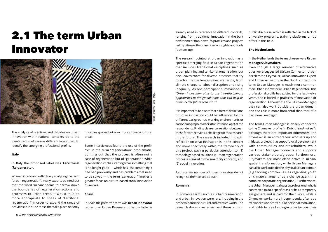### 2.1 The term Urban Innovator

The analysis of practices and debates on urban innovation within national contexts led to the identification of various different labels used to identify the emerging professional profile.

#### **Italy**

#### In Italy the proposed label was **Territorial (Re) generator.**

When critically and reflectively analysing the term "urban regeneration", many experts pointed out that the word "urban" seems to narrow down the boundaries of regeneration actions and processes to urban areas. It would thus be more appropriate to speak of "territorial regeneration" in order to expand the range of activities to include those that take place not only in urban spaces but also in suburban and rural areas.

Some interviewees found the use of the prefix "re" in the term "regeneration" problematic, pointing out that the process is often not a case of regeneration but of "generation." While regeneration implies starting from something that is no longer good — which has lost something it had had previously and has problems that need to be solved — the term "generation" implies a greater focus on culture-based social innovation *tout-court.*

#### **Spain**

In Spain the preferred term was **Urban Innovator** rather than Urban Regenerator, as the latter is

already used in reference to different contexts, ranging from traditional innovation in the built environment (top-down) to practices and projects led by citizens that create new insights and tools (bottom-up).

The research pointed at urban innovation as a specific emerging field in urban regeneration that includes traditional disciplines such as urban planning and territorial organisation, but also leaves room for diverse practices that try to solve the challenges cities are facing, from climate change to labour disruption and rising inequality. As one participant summarised it: *"Urban innovation aims to use interdisciplinary approaches to design solutions that can help us attain better future scenarios."* 

It is important to be aware that different definitions of urban innovation could be influenced by the different backgrounds, working environments or sociodemographic factors (for instance, age) of the respondents. Finding clearer correlations between these factors remains a challenge for this research in the future. The research included in-depth reflection on what innovation is in this context and more specifically within the framework of this project, paying particular attention to: (1) technology-based solutions in urban regeneration processes (linked to the smart city concept); and (2) social innovation.

A substantial number of Urban Innovators do not recognise themselves as such.

#### **Romania**

In Romania terms such as urban regeneration and urban innovation were rare, including in the academic and the cultural and creative world. The research shows a real absence of these terms in public discourse, which is reflected in the lack of university programs, training platforms or job offers in this field.

#### **The Netherlands**

In the Netherlands the terms chosen were **Urban Manager/Citymakers**.

Even though a large number of alternative titles were suggested (Urban Connector, Urban Accelerator, Citymaker, Urban Innovation Expert and Urban Activator), in the Dutch context, the term Urban Manager is much more common than Urban Innovator or Urban Regenerator. This professional profile has existed for the last twelve years, and is based in practices of innovation or regeneration. Although the title is Urban Manager, they can also work outside the urban domain and the role is more horizontal than that of a traditional manager.

The term Urban Manager is closely connected to the Citymaker profile (in Dutch, "*stadmakers*"), although there are important differences: the Citymaker is an entrepreneur who sets up and initiates projects that support local development with communities and stakeholders, while the Urban Manager connects and supports various stakeholders/groups. Furthermore, Citymakers are most often active in urban/ spatial transformation, while Urban Managers can also work outside the physical urban domain (e.g tackling complex issues regarding youth or climate change, or as a change agent in a complex corporate organisation). Furthermore, the Urban Manager is always a professional who is contracted to do a specific task or has a temporary assignment and is paid for their work, while a Citymaker works more independently, often as a freelancer who starts out of personal motivation, and is able to raise funding in order to cover their

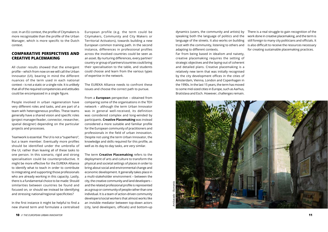cost. In an EU context, the profile of Citymakers is more recognisable than the profile of the Urban Manager, which is more specific to the Dutch context.

#### **COMPARATIVE PERSPECTIVES AND CREATIVE PLACEMAKING**

All cluster results showed that the emergent profile – which from now on we will call the Urban Innovator (UI), bearing in mind the different nuances of the term used in each national context – is not a static or a single role. It is unlikely that all of the required competencies and attitudes could be encompassed in a single figure.

People involved in urban regeneration have very different roles and tasks, and are part of a team with heterogeneous profiles. These teams generally have a shared vision and specific roles (project manager/leader, connector, researcher, spatial designer) depending on the particular projects and processes.

Teamwork is essential. The UI is not a "superhero", but a team member. Eventually more profiles should be identified under the umbrella of the UI, rather than leaving all of these tasks to one person. In this scenario, rigid and strong specialisation could be counterproductive. It might be more effective for the EUREKA Alliance to identify what to teach in order to contribute to integrating and supporting those professionals who are already working in this capacity. Lastly, there is a fundamental choice to be made: Should similarities between countries be found and focused on, or should we instead be identifying and stressing national/regional specificities?

In the first instance it might be helpful to find a new shared term and formulate a centralised European profile (e.g. the term could be Citymakers, Community and City Makers or Territorial Activators), towards building a new European common training path. In the second instance, differences in professional profiles across the involved countries could be seen as an asset. By nurturing differences, every partner/ country or group of partners/countries could bring their specialisation to the table, and students could choose and learn from the various types of expertise in the network.

The EUREKA Alliance needs to confront these issues and choose the correct path to pursue.

From a **European** perspective – obtained from comparing some of the organisations in the TEH network – although the term Urban Innovator was in general well-received, its definition was considered complex and long-winded by participants. **Creative Placemaking** was instead considered a more suitable and familiar profile for the European community of practitioners and professionals in the field of urban innovation. Despite not using the term Urban Innovator, the knowledge and skills required for this profile, as well as its day-to-day tasks, are very similar.

The term **Creative Placemaking** refers to the deployment of arts and culture to transform the physical and societal settings of places in order to bring about social and environmental change and economic development. It generally takes place in a multi-stakeholder environment – between the city, the creative community and land developers – and the related professional profile is represented as a group or community of people rather than one individual. It is a team of action-driven community developers/social workers that almost works like an invisible mediator between top-down actors (city, land developers, officials) and bottom-up

Far from being based in idealism and naivety, creative placemaking requires the setting of strategic objectives and the laying-out of coherent and detailed plans. Creative placemaking is a relatively new term that was initially recognised by the city development offices in the cities of Amsterdam, Vienna, London and Copenhagen in the 1990s. In the last 15 years, the term has moved to some mid-sized cities in Europe, such as Aarhus, Bratislava and Esch. However, challenges remain.

dynamics (users, the community and artists) by speaking both the language of politics and the language of the streets. It also works on building trust with the community, listening to others and adapting to different contexts. There is a real struggle to gain recognition of the work done in creative placemaking, and the term is still foreign to many city politicians and officials. It is also difficult to receive the resources necessary for creating sustainable placemaking practices.

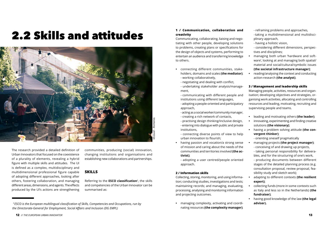### 2.2 Skills and attitudes



The research provided a detailed definition of Urban Innovators that focused on the coexistence of a plurality of elements, revealing a hybrid figure with multiple skills and attitudes. The UI is defined as a complex, multidisciplinary and multidimensional professional figure capable of adopting different approaches, looking after others, fostering collaboration, and managing different areas, dimensions, and agents. The effects produced by the UI's actions are strengthening communities, producing (social) innovation, changing institutions and organisations and establishing new collaborations and partnerships.

#### **SKILLS**

Referring to the **ESCO classification**3, the skills and competencies of the Urban Innovator can be summarised as:

#### **1 / Communication, collaboration and creativity**

Communicating, collaborating, liaising and negotiating with other people, developing solutions to problems, creating plans or specifications for the design of objects and systems, performing to entertain an audience and transferring knowledge to others.

- **•** connecting different communities, stakeholders, domains and scales **(the mediator)**; - working collaboratively,
	- negotiating and dealing with conflict,
	- undertaking stakeholder analysis/management,
	- - communicating with different people and institutions using different languages,
	- adopting a people-oriented and participatory approach,
	- acting as a social worker/community manager,
	- creating a rich network of contacts,
	- practising design thinking/inclusive design, - entering into dialogue with public and private institutions,
	- connecting diverse points of view to help urban innovation to flourish;
- **•** having passion and vocation/a strong sense of mission and caring about the needs of the communities and territories involved **(the activist)**;

- adopting a user centred/people oriented approach.

#### **2 / Information skills**

Collecting, storing, monitoring, and using information; conducting studies, investigations and tests; maintaining records; and managing, evaluating, processing, analysing and monitoring information and projecting outcomes.

**•** managing complexity, activating and coordinating resources **(the complexity manager)**; - reframing problems and approaches,

- taking a multidimensional and multidisciplinary approach,

- having a holistic vision,

- considering different dimensions, perspectives and disciplines;

- **•** managing both urban 'hardware and software', looking at and managing both spatial/ material and social/cultural/symbolic issues **(the societal infrastructure manager)**;
- **•** reading/analysing the context and conducting action-research **(the analyst)**.

#### **3 / Management and leadership skills**

Managing people, activities, resources and organisation; developing objectives and strategies, organising work activities, allocating and controlling resources and leading, motivating, recruiting and supervising people and teams.

- **•** leading and motivating others **(the leader)**;
- **•** innovating, experimenting and finding creative solutions **(the visionary)**;
- **•** having a problem solving attitude **(the convergent thinker)**;
	- orienting oneself pragmatically
- **•** managing projects **(the project manager)**;
- conceiving of and drawing up projects,

- taking personal responsibility for deliverables, and for the structuring of one's work,

- producing documents between different stages of the detailed planning process (e.g. consultation proposal, review proposal, feasibility study and sketch work);

- **•** adapting to different contexts **(the resilient expert)**;
- **•** collecting funds (more in some contexts such as Italy and less so in the Netherlands) **(the fundraiser)**;
- **•** having good knowledge of the law **(the legal adviser).**

**<sup>12</sup>** *// THE EUROPEAN URBAN INNOVATOR* **13**

*<sup>3</sup>ESCO is the European multilingual classification of Skills, Competencies and Occupations, run by the Directorate-General for Employment, Social Affairs and Inclusion (DG EMPL)*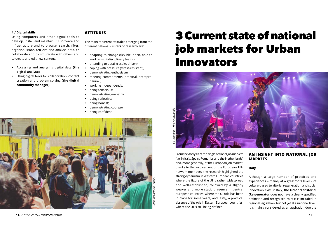#### **4 / Digital skills**

Using computers and other digital tools to develop, install and maintain ICT software and infrastructure and to browse, search, filter, organise, store, retrieve and analyse data, to collaborate and communicate with others and to create and edit new content.

- **•** Accessing and analysing digital data **(the digital analyst)**;
- **•** Using digital tools for collaboration, content creation and problem solving **(the digital community manager)**.

#### **ATTITUDES**

The main recurrent attitudes emerging from the different national clusters of research are:

- **•** adapting to change (flexible, open, able to work in multidisciplinary teams);
- **•** attending to detail (results-driven);
- **•** coping with pressure (stress-resistant);
- **•** demonstrating enthusiasm;
- **•** meeting commitments (practical, entrepreneurial);
- **•** working independently;
- **•** being tenacious;
- **•** demonstrating empathy;
- **•** being reflective;
- **•** being honest;
- **•** demonstrating courage;
- **•** being confident.

From the analysis of the single national job markets (i.e. in Italy, Spain, Romania, and the Netherlands) and, more generally, of the European job market, thanks to the involvement of the European TEH network members, the research highlighted the strong dynamism in Western European countries where the figure of the UI is rather widespread and well-established, followed by a slightly weaker and more static presence in central European countries, where the UI role has been in place for some years, and lastly, a practical absence of the role in Eastern European countries, where the UI is still being defined.

#### **AN INSIGHT INTO NATIONAL JOB MARKETS**

#### **Italy**

Although a large number of practices and experiences – mainly at a grassroots level – of culture-based territorial regeneration and social innovation exist in Italy, **the Urban/Territorial (Re)generator** does not have a clearly specified definition and recognised role; it is included in regional legislation, but not yet at a national level. It is mainly considered as an aspiration due the

### 3 Current state of national job markets for Urban Innovators



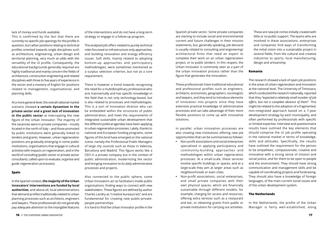lack of money and funds available.

This is confirmed by the fact that there are currently no specific job openings for the profile in question, but rather positions relating to technical profiles oriented towards single disciplines such as architecture, engineering, urban design and territorial planning, very much at odds with the versatility of the UI profile. Consequently, the educational backgrounds generally required are highly traditional and mainly concern the fields of architecture, construction engineering and related disciplines with three to five years of experience in the sector and a mastery of English for positions related to management, organisational, and planning skills.

At a more general level, the overall national market scenario showed **a certain dynamism in the private sector and a great lack of innovation in the public sector** at intercepting the new figure of the Urban Innovator. The majority of the vacancies were in private companies – mostly located in the north of Italy – and those promoted by public institutions were generally linked to tenders and grants. However, urban regeneration positions are gradually emerging in some public institutions, organisations that engage in cultural activities with impacts on regeneration, and in the world of consulting (public sector or private sector consultants, called upon to evaluate, organise and guide regeneration processes).

#### **Spain**

In the Spanish context, **the majority of the Urban Innovators' interventions are funded by local authorities**, and above all, local administrations that demand profiles traditionally related to urban planning processes such as architects, engineers and lawyers. These professionals do not generally pay adequate attention to the intangible features of the interventions and do not have a long-term strategy or engage in a follow-up program.

The analysed job offers related to purely technical roles focussed on infrastructure-only approaches, and building renovation and energy efficiency issues. Soft skills, mainly related to adopting bottom-up approaches and participatory methodologies, were sometimes mentioned as a surplus selection criterion, but not as a core requirement.

There is however a trend towards recognising the need for a multidisciplinary professional who acts transversally and has specific knowledge in the field that is not only technology-based, but is also related to processes and methodologies. This is a sort of innovation director who can be embedded within the structures of public administration, and meet the requirements of integrated sustainable urban development that the different political agendas have been applying to urban regeneration processes. Lately, thanks to national and European funding programs, some figures of this kind have emerged on the national scene, namely the Professional Public Managers of large city councils such as those in Valencia, Barcelona and Madrid. This figure works like a CEO in a private company but in the context of public administration, modernizing the sector and bringing innovation to its daily administrative processes and projects.

Also connected to the public sphere, some Urban Innovators act as facilitators inside public organisations, finding ways to connect with new stakeholders. These figures are defined by author Charles Landry as "creative bureaucrats" and are fundamental for creating new public-privatepeople partnerships.

It is hard to find the Urban Innovator profile in the

Spanish private sector. Some private companies are starting to include social and environmental current and future challenges in their mission statements, but, generally speaking, job demand is usually related to consulting and engineering/ architectural firms that need an expert to complete their work on an urban regeneration project, or to public tenders. In this respect, the Urban Innovator is commonly seen as a part of the urban innovation process rather than the figure that generates the innovation.

These professionals have traditional educational and professional profiles such as engineers, architects, economists, geographers, sociologists and lawyers, and they tend to introduce elements of innovation into projects since they have extensive practical knowledge of administrative processes and can take advantage of their more flexible positions to come up with innovative solutions.

In parallel, urban innovation processes are also creating new institutions offering new job opportunities that can be summarised as follows:

- **•** Non-profit associations and social enterprises specialised in applying participatory and community-building approaches and methodologies within urban regeneration processes. At a small-scale, these services involve specific buildings or spaces, and at a large-scale they aim at larger areas such as neighbourhoods or even cities.
- **•** Non-profit associations, social enterprises, and small private companies with their own physical spaces, which are financially sustainable through different models, for example, charging for access and resources, offering extra services such as a restaurant and bar, or obtaining grants from public or private institutions for carrying out activities.

These are new job niches initially created with little or no public support. The teams who are involved in these associations, enterprises and companies find ways of transforming the initial vision into a sustainable project in several fields, from the cultural and creative industries to sports, local manufacturing, design and artisanship.

#### **Romania**

The research showed a lack of open job positions in the areas of urban regeneration and innovation at the national level. The University of Timisoara, which conducted the research nationally, reported that they *"expected a relatively small number of job offers, but not a complete absence of them".* This might be related to the adoption of a fragmented, non-integrated approach based on a 7-year development strategy by each municipality, and often performed by professionals with specific or limited expertise. Interview and questionnaire results have outlined the key elements that should comprise the UI job profile operating in the national market in terms of knowledge, skills and attitudes. Specifically, the results have outlined the requirement for the person to be empathetic, compassionate, creative and innovative with a strong sense of mission and social justice, and for them to be open to people and the environment. They should have strong communication and management skills and be capable of coordinating projects and fundraising. They should also have a knowledge of foreign languages, of the main current social issues and of the urban development system.

#### **The Netherlands**

In the Netherlands, the profile of the Urban Manager is fairly well-established, along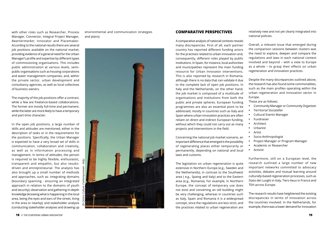with other roles such as Researcher, Process Manager, Connector, Integral Project Manager, *Kwartiermarker*, Innovator and Placemaker. According to the national results there are several job positions available on the national market, providing evidence of a general need for the Urban Manager's profile and expertise by different types of commissioning organisations. This includes public administration at various levels, semipublic organisations such as housing corporations and water management companies, and, within the private sector, urban development and consultancy agencies, as well as local collectives of business owners.

The majority of the job positions offer a contract, while a few are freelance-based collaborations. The former are mostly full-time and permanent, while the latter are more likely to have a temporary and part-time character.

In the open job positions, a large number of skills and attitudes are mentioned, either in the description of tasks or in the requirements for the positions. Specifically, the Urban Manager is expected to have a very broad set of skills in communication, collaboration and creativity, as well as in information processing and management. In terms of attitudes, the person is required to be highly flexible, enthusiastic, transparent and empathic, but also resultsdriven and entrepreneurial. The analysis has also brought up a small number of methods and approaches, such as: integrating domains (boundary spanning - ensuring an integrated approach in relation to the domains of youth and security); observation and gathering in-depth knowledge (knowing what is happening in the local area, being the eyes and ears of the street, living in the area or nearby); and stakeholder analysis (conducting stakeholder analyses and drawing up

environmental and communication strategies and plans).



#### **COMPARATIVE PERSPECTIVES**

A comparative analysis of national contexts reveals many discrepancies. First of all, each partner country has reported different funding actors for the practises related to urban innovation and, consequently, different roles played by public institutions. In Spain, for instance, local authorities and municipalities represent the main funding resource for Urban Innovator interventions. This is also reported by research in Romania, although there is no data that can validate it due to the complete lack of open job positions. In Italy and the Netherlands, on the other hand, the job market is composed of a multitude of organisations and institutions from both the public and private spheres. European funding programmes are also an essential point to be addressed, mostly in countries such as Italy and Spain where urban innovation practices are often reliant on direct and indirect European funding, without which they could not carry out as many projects and interventions in the field.

Concerning the national job market scenario, an important difference that emerged is the possibility of regenerating places either temporarily or permanently, depending on national and local laws and customs.

The legislation on urban regeneration is quite extensive in Northern Europe (e.g., Sweden and the Netherlands), in contrast to the Southwest area ( e.g., Spaing and Italy) and to the Eastern area (e.g., Romania). For example, in Northern Europe, the concept of temporary use does not exist and converting an old building might be very challenging, whereas in countries such as Italy, Spain and Romania it is a widespread concept, since the regulations are less strict, and the practices related to urban regeneration are

relatively new and not yet clearly integrated into national policies.

Overall, a relevant issue that emerged during the comparison sessions between clusters was the need to explore, deepen and compare the regulations and laws in each national context involved and beyond – with a view to Europe as a whole – to grasp their effects on urban regeneration and innovation practices.

Despite the many discrepancies outlined above, the research has also found some commonalities, such as the main profiles operating within the urban regeneration and innovation sector in Europe.

These are as follows:

- **•** Community Manager or Community Organiser
- **•** Territorial Storyteller
- **•** Cultural Events Manager
- **•** Fundraiser
- **•** Architect
- **•** Urbanist
- **•** Artist
- **•** Socio-Anthropologist
- **•** Project Manager or Program Manager
- **•** Academic or Researcher
- **•** Activist

Furthermore, still on a European level, the research outlined a large number of new important networks committed to advocacy activities, debates and mutual learning around culturally-based regeneration processes, such as Stato dei Luoghi in Italy, Tiers-lieux in France and TEH across Europe.

The research results have heightened the existing discrepancies in terms of innovation across the countries involved. In the Netherlands, for example, there was a lower demand for innovation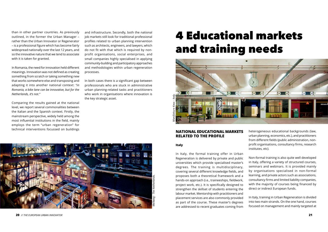than in other partner countries. As previously outlined, in the former the Urban Manager – rather than the Urban Innovator or Regenerator – is a professional figure which has become fairly widespread nationally over the last 12 years, and so the innovative nature that we tend to associate with it is taken for granted.

In Romania, the need for innovation held different meanings. Innovation was not defined as creating something from scratch or taking something new that works somewhere else and transposing and adapting it into another national context: *"in Romania, a bike lane can be innovative, but for the Netherlands, it's not."*

Comparing the results gained at the national level, we report several commonalities between the Italian and the Spanish context. Firstly, the mainstream perspective, widely held among the most influential institutions in the field, mainly employs the term "urban regeneration" for technical interventions focussed on buildings

and infrastructure. Secondly, both the national job markets still look for traditional professional profiles related to urban planning intervention such as architects, engineers, and lawyers, which do not fit with that which is required by nonprofit organisations, social enterprises, and small companies highly specialised in applying community-building and participatory approaches and methodologies within urban regeneration processes.

In both cases there is a significant gap between professionals who are stuck in administrative urban planning-related tasks and practitioners who work in organisations where innovation is the key strategic asset.



#### **NATIONAL EDUCATIONAL MARKETS RELATED TO THE PROFILE**

#### **Italy**

In Italy, the formal training offer in Urban Regeneration is delivered by private and public universities which provide specialised master's degrees. The training is multidisciplinary, covering several different knowledge fields, and proposes both a theoretical framework and a hands-on approach (i.e., traineeships, fieldwork, project work, etc.). It is specifically designed to strengthen the skillset of students entering the labour market. Mentorship with practitioners and placement services are also commonly provided as part of the course. These master's degrees are addressed to recent graduates coming from heterogeneous educational backgrounds (law, urban planning, economics, etc.), and practitioners from different fields (public administration, nonprofit organisations, consultancy firms, research institutes, etc).

Non-formal training is also quite well developed in Italy, offering a variety of structured courses, seminars and webinars. It is provided mainly by organisations specialised in non-formal learning, and private actors such as associations, consultancy firms and limited liability companies, with the majority of courses being financed by direct or indirect European funds.

In Italy, training in Urban Regeneration is divided into two main strands. On the one hand, courses focused on management and mainly targeted at

### 4 Educational markets and training needs

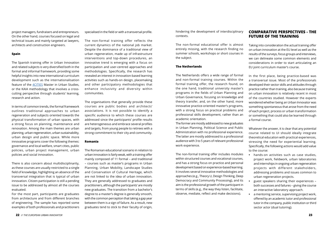project managers, fundraisers and entrepreneurs. On the other hand, courses focused on legal and technical issues and mainly targeted at lawyers, architects and construction engineers.

#### **Spain**

The Spanish training offer in Urban Innovation and related subjects is very diversified both in the formal and informal framework, providing some helpful insights into new international curriculum development such as the internationalisation feature of the [4CITIES](https://www.4cities.eu) Master in Urban Studies, or the KAIA methodology that involves a crosscutting perspective through students' learning, research and action.

In terms of common trends, the formal framework outlines traditional approaches to urban regeneration and subjects oriented towards the physical transformation of urban spaces, with a strong focus on planning, maintenance and renovation. Among the main themes are urban planning, urban regeneration, urban sustainability, urban design and public space. While more innovative programs cover the following themes: governance and local welfare, smart cities, public policies, urban project management, urban policies and social innovation.

There is also concern about multidisciplinarity, as these courses are usually restricted to a single field of knowledge, highlighting an absence of the transversal integration that is typical of urban innovation. Citizen participation is still a pending issue to be addressed by almost all the courses evaluated.

For the most part, participants are graduates from architecture and from different branches of engineering. The sample has reported some examples of both professionals and practitioners specialised in the field or with a transversal profile.

The non-formal training offer reflects the current dynamics of the national job market. Despite the dominance of a traditional view of urban regeneration, made up of infrastructure interventions and top-down procedures, an innovative trend is emerging with a focus on participation and user-centred approaches and methodologies. Specifically, the research has revealed an interest in innovation-based learning activities such as hands-on design, placemaking and other participatory methodologies that enhance inclusivity and diversity within communities.

The organisations that generally provide these courses are public bodies and architects' associations. It is not possible to identify a specific audience to which these courses are addressed since the participants' profile results are heterogeneous and embrace several profiles and targets, from young people to retirees with a strong commitment to their city and community.

#### **Romania**

The Romanian educational scenario in relation to urban innovation is fairly weak, with a training offer mainly composed of 11 formal – and traditional – courses such as master's programs in Urban Planning, Urban Mobility, Landscape Studies and Conservation of Cultural Heritage, which are not linked to the idea of urban innovation. They are generally addressed to graduates and practitioners, although the participants' are mostly new graduates. The transition from a bachelor's degree to a master's degree is generally smooth, with the common perception that taking a gap year between them is a sign of failure. As a result, new graduates tend to stick to their faculty of origin,

hindering the development of interdisciplinary contexts.

The non-formal educational offer is almost entirely missing, with the research finding no summer schools, workshops or short courses in the subject.

#### **The Netherlands**

The Netherlands offers a wide range of formal and non-formal training courses. Within the formal training offer, the research found, on the one hand, traditional university master's programs in the fields of Urban Planning and Urban Governance, focusing on knowledge and theory transfer, and, on the other hand, more innovative practice-oriented master's programs, with a strong focus on practical problems and professional skills development, rather than an academic orientation.

The former are mostly addressed to new graduates in Urban Planning, Political Science and Public Administration with no professional experience. The latter are mostly addressed to a professional audience with 3 to 5 years of relevant professional work experience.

The non-formal training offer includes modules within structured courses and vocational courses, and has a strong focus on practice and personal development based on experience-based learning. It involves several innovative methodologies and approaches (e.g., Theory U, Design Thinking, Deep Democracy and Community Processing), and its aim is the professional growth of the participant in terms of skills (e.g., the way they listen, facilitate, observe, mediate, reflect and make decisions).

#### **COMPARATIVE PERSPECTIVES - THE FUTURE OF THE TRAINING**

Taking into consideration the actual training offer on urban innovation at the EU level as well as the results of the surveys, focus groups and interviews, we can delineate some common elements and considerations in order to start articulating an EU joint curriculum master's course.

In the first place, being practice-based was a transversal issue. Most of the professionals developed their sector skills and attitudes through practice rather than training, also because training on urban innovation is relatively recent in most of the countries studied. However the experts wondered whether being an Urban Innovator was something spontaneous that arose from the need of each project, process or urban transformation or something that could also be learned through a formal course.

Whatever the answer, it is clear that any potential course related to UI should ideally integrate theoretical education with practical experiences, stressing the need for experiential learning. Specifically, the following actions would add value to the course:

- **•** hands-on activities such as case studies, project work, fieldwork, urban laboratories and internships in ongoing urban regeneration projects with different stakeholders, addressing problems and issues common to urban regeneration projects.
- **•** guest speakers sharing their experiences both successes and failures – giving the course an interactive laboratory approach.
- **•** a mentoring service, supervising project work, offered by an academic tutor and professional tutor in the company, public institution or third sector actor (dual tutoring).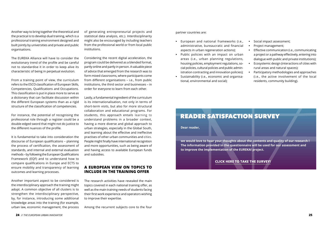Another way to bring together the theoretical and the practical is to develop dual training, which is a professional training environment designed and built jointly by universities and private and public organisations.

The EUREKA Alliance will have to consider the evolutionary trend of the profile and be careful not to standardise it in order to keep alive its characteristic of being in perpetual evolution.

From a training point of view, the curriculum refers to the ESCO classification of European Skills, Competencies, Qualifications and Occupations. This classification is put in place more to serve as a dictionary that can facilitate discussion within the different European systems than as a rigid structure of the classification of competencies.

For instance, the potential of recognising the professional role through a register could be a double-edged sword that might not do justice to the different nuances of the profile.

It is fundamental to take into consideration the discourse of European qualifications – planning the process of certification, the assessment of standards, and internal and external evaluation methods – by following the European Qualifications Framework (EQF) and to understand how to compare qualifications in Europe and ECTS to ensure mobility and transparency of learning outcomes and learning processes.

Another important aspect to be considered is the interdisciplinary approach the training might adopt. A common objective of all clusters is to strengthen the interdisciplinary perspective, by, for instance, introducing some additional knowledge areas into the training (for example, urban law, economic management, the process

of generating entrepreneurial projects and statistical data analysis, etc.). Interdisciplinarity might also be encouraged by including teachers from the professional world or from local public institutions.

Considering the recent digital acceleration, the program could be delivered as a blended format, partly online and partly in person. A valuable piece of advice that emerged from the research was to form mixed classrooms, where participants come from different organisations – i.e., from public institutions, the third sector and businesses – in order for everyone to learn from each other.

Lastly, a fundamental ingredient of the curriculum is its internationalisation, not only in terms of short-term visits, but also for more structural collaboration and educational programs. For students, this approach entails learning to understand problems in a broader context, having a more diverse and global approach to urban strategies, especially in the Global South, and learning about the effective and ineffective practises of other urban communities and cities. People might finally have international recognition and more opportunities, such as being aware of and having access to available European funds and subsidies.

#### **A EUROPEAN VIEW ON TOPICS TO INCLUDE IN THE TRAINING OFFER**

The research activities have revealed the main topics covered in each national training offer, as well as the main training needs of students facing their first work experience and operators wishing to improve their expertise.

Among the recurrent subjects core to the four

### READER SATISFACTION SURVEY

**Dear reader,**

**we would love to hear your thoughts about the contents and quality of our research ! The information provided in the questionnaire will be used for our assessment and to improve the implementation of the EUREKA! project.**

#### **[CLICK HERE TO TAKE THE SURVEY!](https://lama.eu.qualtrics.com/jfe/form/SV_erF5J1MR0blCQVU)**

partner countries are:

- **•** European and national frameworks (i.e., administrative, bureaucratic and financial aspects in urban regeneration actions);
- **•** Public policies with an impact on urban areas (i.e., urban planning regulations, housing policies, employment regulations, social policies, cultural policies and public administration contracting and innovation policies);
- **•** Sustainability (i.e., economic and organisational, environmental and social);
- **•** Social impact assessment;
- **•** Project management;
- **•** Effective communication (i.e., communicating a project or a pathway effectively, entering into dialogue with public and private institutions);
- **•** Ecosystemic design (interactions of cities with rural areas and natural spaces);
- **•** Participatory methodologies and approaches (i.e., the active involvement of the local residents, community building).